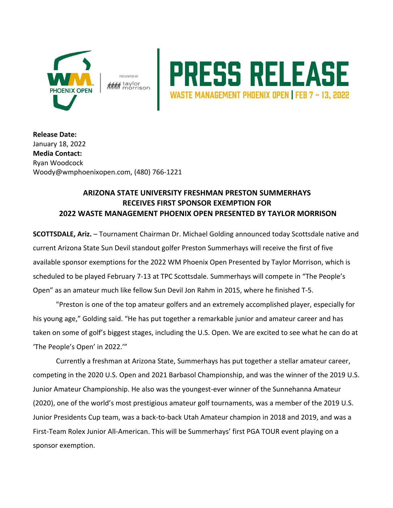





**Release Date:**  January 18, 2022 **Media Contact:** Ryan Woodcock Woody@wmphoenixopen.com, (480) 766-1221

## **ARIZONA STATE UNIVERSITY FRESHMAN PRESTON SUMMERHAYS RECEIVES FIRST SPONSOR EXEMPTION FOR 2022 WASTE MANAGEMENT PHOENIX OPEN PRESENTED BY TAYLOR MORRISON**

**SCOTTSDALE, Ariz.** – Tournament Chairman Dr. Michael Golding announced today Scottsdale native and current Arizona State Sun Devil standout golfer Preston Summerhays will receive the first of five available sponsor exemptions for the 2022 WM Phoenix Open Presented by Taylor Morrison, which is scheduled to be played February 7-13 at TPC Scottsdale. Summerhays will compete in "The People's Open" as an amateur much like fellow Sun Devil Jon Rahm in 2015, where he finished T-5.

"Preston is one of the top amateur golfers and an extremely accomplished player, especially for his young age," Golding said. "He has put together a remarkable junior and amateur career and has taken on some of golf's biggest stages, including the U.S. Open. We are excited to see what he can do at 'The People's Open' in 2022.'"

Currently a freshman at Arizona State, Summerhays has put together a stellar amateur career, competing in the 2020 U.S. Open and 2021 Barbasol Championship, and was the winner of the 2019 U.S. Junior Amateur Championship. He also was the youngest-ever winner of the Sunnehanna Amateur (2020), one of the world's most prestigious amateur golf tournaments, was a member of the 2019 U.S. Junior Presidents Cup team, was a back-to-back Utah Amateur champion in 2018 and 2019, and was a First-Team Rolex Junior All-American. This will be Summerhays' first PGA TOUR event playing on a sponsor exemption.